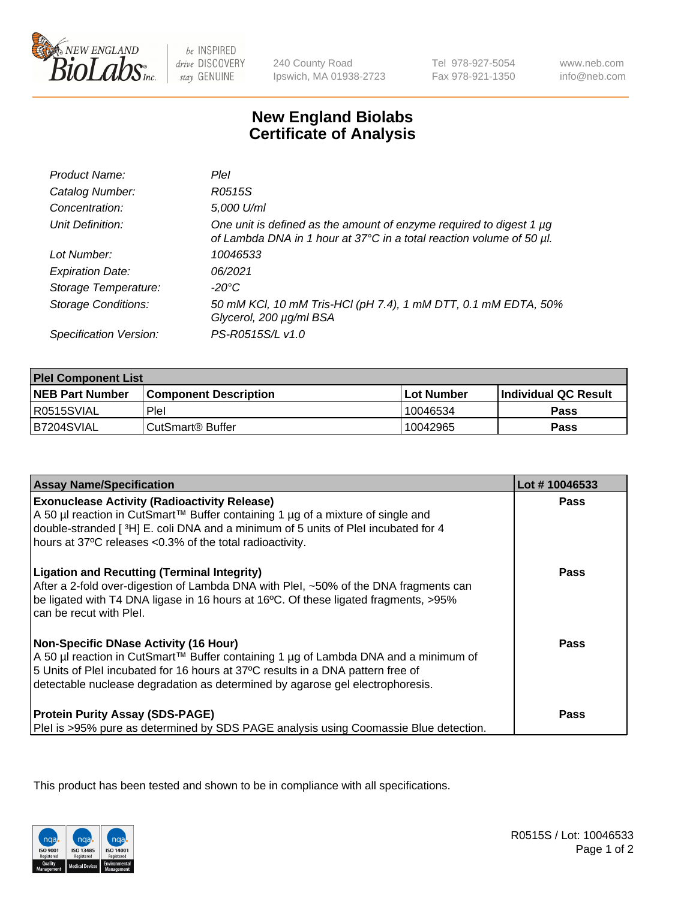

be INSPIRED drive DISCOVERY stay GENUINE

240 County Road Ipswich, MA 01938-2723

Tel 978-927-5054 Fax 978-921-1350

www.neb.com info@neb.com

## **New England Biolabs Certificate of Analysis**

| Product Name:              | Plel                                                                                                                                        |
|----------------------------|---------------------------------------------------------------------------------------------------------------------------------------------|
| Catalog Number:            | R0515S                                                                                                                                      |
| Concentration:             | 5,000 U/ml                                                                                                                                  |
| Unit Definition:           | One unit is defined as the amount of enzyme required to digest 1 µg<br>of Lambda DNA in 1 hour at 37°C in a total reaction volume of 50 µl. |
| Lot Number:                | 10046533                                                                                                                                    |
| <b>Expiration Date:</b>    | 06/2021                                                                                                                                     |
| Storage Temperature:       | -20°C                                                                                                                                       |
| <b>Storage Conditions:</b> | 50 mM KCl, 10 mM Tris-HCl (pH 7.4), 1 mM DTT, 0.1 mM EDTA, 50%<br>Glycerol, 200 µg/ml BSA                                                   |
| Specification Version:     | PS-R0515S/L v1.0                                                                                                                            |

| <b>Plel Component List</b> |                              |             |                             |  |
|----------------------------|------------------------------|-------------|-----------------------------|--|
| <b>NEB Part Number</b>     | <b>Component Description</b> | ⊺Lot Number | <b>Individual QC Result</b> |  |
| I R0515SVIAL               | Plel                         | 10046534    | Pass                        |  |
| B7204SVIAL                 | l CutSmart® Buffer           | 10042965    | Pass                        |  |

| <b>Assay Name/Specification</b>                                                                                                                                                                                                                                                                         | Lot #10046533 |
|---------------------------------------------------------------------------------------------------------------------------------------------------------------------------------------------------------------------------------------------------------------------------------------------------------|---------------|
| <b>Exonuclease Activity (Radioactivity Release)</b><br>A 50 µl reaction in CutSmart™ Buffer containing 1 µg of a mixture of single and<br>double-stranded [3H] E. coli DNA and a minimum of 5 units of PleI incubated for 4<br>hours at 37°C releases <0.3% of the total radioactivity.                 | <b>Pass</b>   |
| <b>Ligation and Recutting (Terminal Integrity)</b><br>After a 2-fold over-digestion of Lambda DNA with Plel, ~50% of the DNA fragments can<br>be ligated with T4 DNA ligase in 16 hours at 16°C. Of these ligated fragments, >95%<br>can be recut with Plel.                                            | Pass          |
| <b>Non-Specific DNase Activity (16 Hour)</b><br>A 50 µl reaction in CutSmart™ Buffer containing 1 µg of Lambda DNA and a minimum of<br>5 Units of PleI incubated for 16 hours at 37°C results in a DNA pattern free of<br>detectable nuclease degradation as determined by agarose gel electrophoresis. | Pass          |
| <b>Protein Purity Assay (SDS-PAGE)</b><br>PleI is >95% pure as determined by SDS PAGE analysis using Coomassie Blue detection.                                                                                                                                                                          | Pass          |

This product has been tested and shown to be in compliance with all specifications.